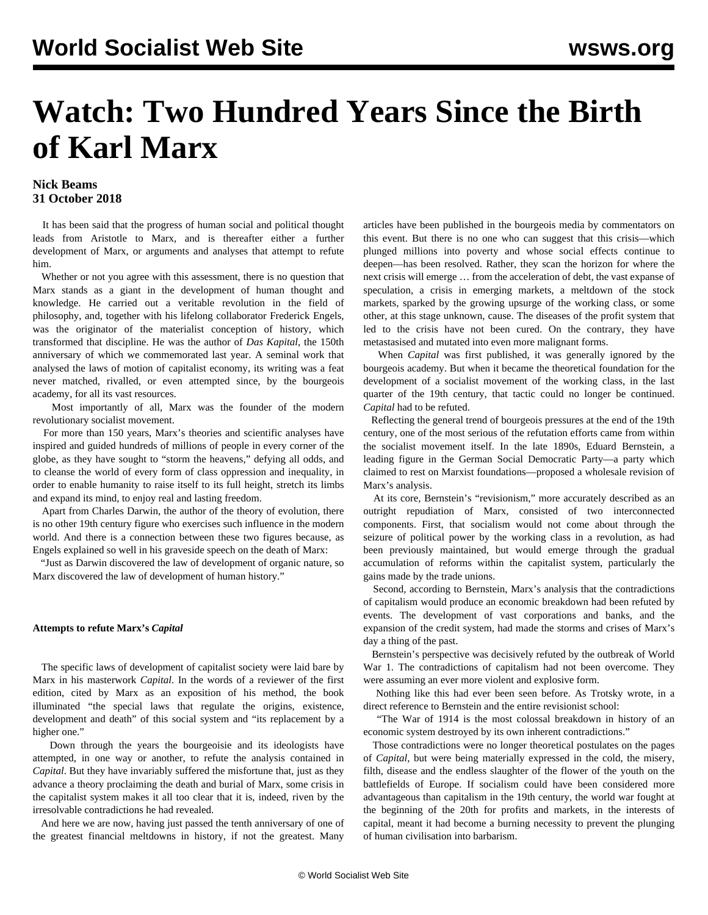# **Watch: Two Hundred Years Since the Birth of Karl Marx**

# **Nick Beams 31 October 2018**

 It has been said that the progress of human social and political thought leads from Aristotle to Marx, and is thereafter either a further development of Marx, or arguments and analyses that attempt to refute him.

 Whether or not you agree with this assessment, there is no question that Marx stands as a giant in the development of human thought and knowledge. He carried out a veritable revolution in the field of philosophy, and, together with his lifelong collaborator Frederick Engels, was the originator of the materialist conception of history, which transformed that discipline. He was the author of *Das Kapital*, the 150th anniversary of which we commemorated last year. A seminal work that analysed the laws of motion of capitalist economy, its writing was a feat never matched, rivalled, or even attempted since, by the bourgeois academy, for all its vast resources.

 Most importantly of all, Marx was the founder of the modern revolutionary socialist movement.

 For more than 150 years, Marx's theories and scientific analyses have inspired and guided hundreds of millions of people in every corner of the globe, as they have sought to "storm the heavens," defying all odds, and to cleanse the world of every form of class oppression and inequality, in order to enable humanity to raise itself to its full height, stretch its limbs and expand its mind, to enjoy real and lasting freedom.

 Apart from Charles Darwin, the author of the theory of evolution, there is no other 19th century figure who exercises such influence in the modern world. And there is a connection between these two figures because, as Engels explained so well in his graveside speech on the death of Marx:

 "Just as Darwin discovered the law of development of organic nature, so Marx discovered the law of development of human history."

# **Attempts to refute Marx's** *Capital*

 The specific laws of development of capitalist society were laid bare by Marx in his masterwork *Capital*. In the words of a reviewer of the first edition, cited by Marx as an exposition of his method, the book illuminated "the special laws that regulate the origins, existence, development and death" of this social system and "its replacement by a higher one."

 Down through the years the bourgeoisie and its ideologists have attempted, in one way or another, to refute the analysis contained in *Capital*. But they have invariably suffered the misfortune that, just as they advance a theory proclaiming the death and burial of Marx, some crisis in the capitalist system makes it all too clear that it is, indeed, riven by the irresolvable contradictions he had revealed.

 And here we are now, having just passed the tenth anniversary of one of the greatest financial meltdowns in history, if not the greatest. Many

articles have been published in the bourgeois media by commentators on this event. But there is no one who can suggest that this crisis—which plunged millions into poverty and whose social effects continue to deepen—has been resolved. Rather, they scan the horizon for where the next crisis will emerge … from the acceleration of debt, the vast expanse of speculation, a crisis in emerging markets, a meltdown of the stock markets, sparked by the growing upsurge of the working class, or some other, at this stage unknown, cause. The diseases of the profit system that led to the crisis have not been cured. On the contrary, they have metastasised and mutated into even more malignant forms.

 When *Capital* was first published, it was generally ignored by the bourgeois academy. But when it became the theoretical foundation for the development of a socialist movement of the working class, in the last quarter of the 19th century, that tactic could no longer be continued. *Capital* had to be refuted.

 Reflecting the general trend of bourgeois pressures at the end of the 19th century, one of the most serious of the refutation efforts came from within the socialist movement itself. In the late 1890s, Eduard Bernstein, a leading figure in the German Social Democratic Party—a party which claimed to rest on Marxist foundations—proposed a wholesale revision of Marx's analysis.

 At its core, Bernstein's "revisionism," more accurately described as an outright repudiation of Marx, consisted of two interconnected components. First, that socialism would not come about through the seizure of political power by the working class in a revolution, as had been previously maintained, but would emerge through the gradual accumulation of reforms within the capitalist system, particularly the gains made by the trade unions.

 Second, according to Bernstein, Marx's analysis that the contradictions of capitalism would produce an economic breakdown had been refuted by events. The development of vast corporations and banks, and the expansion of the credit system, had made the storms and crises of Marx's day a thing of the past.

 Bernstein's perspective was decisively refuted by the outbreak of World War 1. The contradictions of capitalism had not been overcome. They were assuming an ever more violent and explosive form.

 Nothing like this had ever been seen before. As Trotsky wrote, in a direct reference to Bernstein and the entire revisionist school:

 "The War of 1914 is the most colossal breakdown in history of an economic system destroyed by its own inherent contradictions."

 Those contradictions were no longer theoretical postulates on the pages of *Capital,* but were being materially expressed in the cold, the misery, filth, disease and the endless slaughter of the flower of the youth on the battlefields of Europe. If socialism could have been considered more advantageous than capitalism in the 19th century, the world war fought at the beginning of the 20th for profits and markets, in the interests of capital, meant it had become a burning necessity to prevent the plunging of human civilisation into barbarism.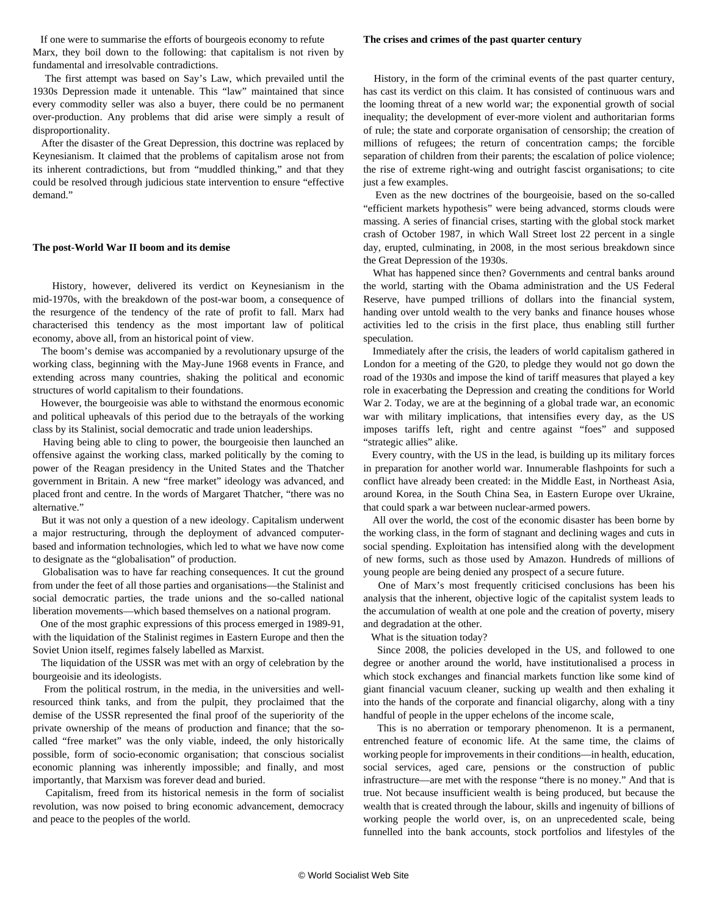If one were to summarise the efforts of bourgeois economy to refute Marx, they boil down to the following: that capitalism is not riven by fundamental and irresolvable contradictions.

 The first attempt was based on Say's Law, which prevailed until the 1930s Depression made it untenable. This "law" maintained that since every commodity seller was also a buyer, there could be no permanent over-production. Any problems that did arise were simply a result of disproportionality.

 After the disaster of the Great Depression, this doctrine was replaced by Keynesianism. It claimed that the problems of capitalism arose not from its inherent contradictions, but from "muddled thinking," and that they could be resolved through judicious state intervention to ensure "effective demand<sup>"</sup>

# **The post-World War II boom and its demise**

 History, however, delivered its verdict on Keynesianism in the mid-1970s, with the breakdown of the post-war boom, a consequence of the resurgence of the tendency of the rate of profit to fall. Marx had characterised this tendency as the most important law of political economy, above all, from an historical point of view.

 The boom's demise was accompanied by a revolutionary upsurge of the working class, beginning with the May-June 1968 events in France, and extending across many countries, shaking the political and economic structures of world capitalism to their foundations.

 However, the bourgeoisie was able to withstand the enormous economic and political upheavals of this period due to the betrayals of the working class by its Stalinist, social democratic and trade union leaderships.

 Having being able to cling to power, the bourgeoisie then launched an offensive against the working class, marked politically by the coming to power of the Reagan presidency in the United States and the Thatcher government in Britain. A new "free market" ideology was advanced, and placed front and centre. In the words of Margaret Thatcher, "there was no alternative."

 But it was not only a question of a new ideology. Capitalism underwent a major restructuring, through the deployment of advanced computerbased and information technologies, which led to what we have now come to designate as the "globalisation" of production.

 Globalisation was to have far reaching consequences. It cut the ground from under the feet of all those parties and organisations—the Stalinist and social democratic parties, the trade unions and the so-called national liberation movements—which based themselves on a national program.

 One of the most graphic expressions of this process emerged in 1989-91, with the liquidation of the Stalinist regimes in Eastern Europe and then the Soviet Union itself, regimes falsely labelled as Marxist.

 The liquidation of the USSR was met with an orgy of celebration by the bourgeoisie and its ideologists.

 From the political rostrum, in the media, in the universities and wellresourced think tanks, and from the pulpit, they proclaimed that the demise of the USSR represented the final proof of the superiority of the private ownership of the means of production and finance; that the socalled "free market" was the only viable, indeed, the only historically possible, form of socio-economic organisation; that conscious socialist economic planning was inherently impossible; and finally, and most importantly, that Marxism was forever dead and buried.

 Capitalism, freed from its historical nemesis in the form of socialist revolution, was now poised to bring economic advancement, democracy and peace to the peoples of the world.

### **The crises and crimes of the past quarter century**

 History, in the form of the criminal events of the past quarter century, has cast its verdict on this claim. It has consisted of continuous wars and the looming threat of a new world war; the exponential growth of social inequality; the development of ever-more violent and authoritarian forms of rule; the state and corporate organisation of censorship; the creation of millions of refugees; the return of concentration camps; the forcible separation of children from their parents; the escalation of police violence; the rise of extreme right-wing and outright fascist organisations; to cite just a few examples.

 Even as the new doctrines of the bourgeoisie, based on the so-called "efficient markets hypothesis" were being advanced, storms clouds were massing. A series of financial crises, starting with the global stock market crash of October 1987, in which Wall Street lost 22 percent in a single day, erupted, culminating, in 2008, in the most serious breakdown since the Great Depression of the 1930s.

 What has happened since then? Governments and central banks around the world, starting with the Obama administration and the US Federal Reserve, have pumped trillions of dollars into the financial system, handing over untold wealth to the very banks and finance houses whose activities led to the crisis in the first place, thus enabling still further speculation.

 Immediately after the crisis, the leaders of world capitalism gathered in London for a meeting of the G20, to pledge they would not go down the road of the 1930s and impose the kind of tariff measures that played a key role in exacerbating the Depression and creating the conditions for World War 2. Today, we are at the beginning of a global trade war, an economic war with military implications, that intensifies every day, as the US imposes tariffs left, right and centre against "foes" and supposed "strategic allies" alike.

 Every country, with the US in the lead, is building up its military forces in preparation for another world war. Innumerable flashpoints for such a conflict have already been created: in the Middle East, in Northeast Asia, around Korea, in the South China Sea, in Eastern Europe over Ukraine, that could spark a war between nuclear-armed powers.

 All over the world, the cost of the economic disaster has been borne by the working class, in the form of stagnant and declining wages and cuts in social spending. Exploitation has intensified along with the development of new forms, such as those used by Amazon. Hundreds of millions of young people are being denied any prospect of a secure future.

 One of Marx's most frequently criticised conclusions has been his analysis that the inherent, objective logic of the capitalist system leads to the accumulation of wealth at one pole and the creation of poverty, misery and degradation at the other.

What is the situation today?

 Since 2008, the policies developed in the US, and followed to one degree or another around the world, have institutionalised a process in which stock exchanges and financial markets function like some kind of giant financial vacuum cleaner, sucking up wealth and then exhaling it into the hands of the corporate and financial oligarchy, along with a tiny handful of people in the upper echelons of the income scale,

 This is no aberration or temporary phenomenon. It is a permanent, entrenched feature of economic life. At the same time, the claims of working people for improvements in their conditions—in health, education, social services, aged care, pensions or the construction of public infrastructure—are met with the response "there is no money." And that is true. Not because insufficient wealth is being produced, but because the wealth that is created through the labour, skills and ingenuity of billions of working people the world over, is, on an unprecedented scale, being funnelled into the bank accounts, stock portfolios and lifestyles of the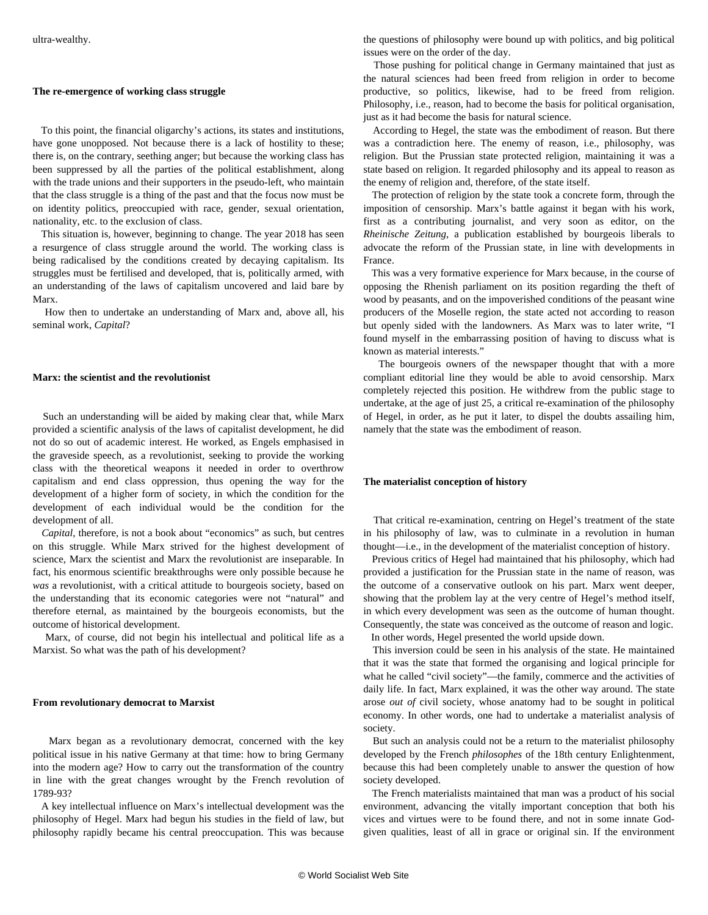#### **The re-emergence of working class struggle**

 To this point, the financial oligarchy's actions, its states and institutions, have gone unopposed. Not because there is a lack of hostility to these; there is, on the contrary, seething anger; but because the working class has been suppressed by all the parties of the political establishment, along with the trade unions and their supporters in the pseudo-left, who maintain that the class struggle is a thing of the past and that the focus now must be on identity politics, preoccupied with race, gender, sexual orientation, nationality, etc. to the exclusion of class.

 This situation is, however, beginning to change. The year 2018 has seen a resurgence of class struggle around the world. The working class is being radicalised by the conditions created by decaying capitalism. Its struggles must be fertilised and developed, that is, politically armed, with an understanding of the laws of capitalism uncovered and laid bare by Marx.

 How then to undertake an understanding of Marx and, above all, his seminal work, *Capital*?

### **Marx: the scientist and the revolutionist**

 Such an understanding will be aided by making clear that, while Marx provided a scientific analysis of the laws of capitalist development, he did not do so out of academic interest. He worked, as Engels emphasised in the graveside speech, as a revolutionist, seeking to provide the working class with the theoretical weapons it needed in order to overthrow capitalism and end class oppression, thus opening the way for the development of a higher form of society, in which the condition for the development of each individual would be the condition for the development of all.

 *Capital*, therefore, is not a book about "economics" as such, but centres on this struggle. While Marx strived for the highest development of science, Marx the scientist and Marx the revolutionist are inseparable. In fact, his enormous scientific breakthroughs were only possible because he *was* a revolutionist, with a critical attitude to bourgeois society, based on the understanding that its economic categories were not "natural" and therefore eternal, as maintained by the bourgeois economists, but the outcome of historical development.

 Marx, of course, did not begin his intellectual and political life as a Marxist. So what was the path of his development?

#### **From revolutionary democrat to Marxist**

 Marx began as a revolutionary democrat, concerned with the key political issue in his native Germany at that time: how to bring Germany into the modern age? How to carry out the transformation of the country in line with the great changes wrought by the French revolution of 1789-93?

 A key intellectual influence on Marx's intellectual development was the philosophy of Hegel. Marx had begun his studies in the field of law, but philosophy rapidly became his central preoccupation. This was because the questions of philosophy were bound up with politics, and big political issues were on the order of the day.

 Those pushing for political change in Germany maintained that just as the natural sciences had been freed from religion in order to become productive, so politics, likewise, had to be freed from religion. Philosophy, i.e., reason, had to become the basis for political organisation, just as it had become the basis for natural science.

 According to Hegel, the state was the embodiment of reason. But there was a contradiction here. The enemy of reason, i.e., philosophy, was religion. But the Prussian state protected religion, maintaining it was a state based on religion. It regarded philosophy and its appeal to reason as the enemy of religion and, therefore, of the state itself.

 The protection of religion by the state took a concrete form, through the imposition of censorship. Marx's battle against it began with his work, first as a contributing journalist, and very soon as editor, on the *Rheinische Zeitung*, a publication established by bourgeois liberals to advocate the reform of the Prussian state, in line with developments in France.

 This was a very formative experience for Marx because, in the course of opposing the Rhenish parliament on its position regarding the theft of wood by peasants, and on the impoverished conditions of the peasant wine producers of the Moselle region, the state acted not according to reason but openly sided with the landowners. As Marx was to later write, "I found myself in the embarrassing position of having to discuss what is known as material interests."

 The bourgeois owners of the newspaper thought that with a more compliant editorial line they would be able to avoid censorship. Marx completely rejected this position. He withdrew from the public stage to undertake, at the age of just 25, a critical re-examination of the philosophy of Hegel, in order, as he put it later, to dispel the doubts assailing him, namely that the state was the embodiment of reason.

# **The materialist conception of history**

 That critical re-examination, centring on Hegel's treatment of the state in his philosophy of law, was to culminate in a revolution in human thought—i.e., in the development of the materialist conception of history.

 Previous critics of Hegel had maintained that his philosophy, which had provided a justification for the Prussian state in the name of reason, was the outcome of a conservative outlook on his part. Marx went deeper, showing that the problem lay at the very centre of Hegel's method itself, in which every development was seen as the outcome of human thought. Consequently, the state was conceived as the outcome of reason and logic. In other words, Hegel presented the world upside down.

 This inversion could be seen in his analysis of the state. He maintained that it was the state that formed the organising and logical principle for what he called "civil society"—the family, commerce and the activities of daily life. In fact, Marx explained, it was the other way around. The state arose *out of* civil society, whose anatomy had to be sought in political economy. In other words, one had to undertake a materialist analysis of society.

 But such an analysis could not be a return to the materialist philosophy developed by the French *philosophes* of the 18th century Enlightenment, because this had been completely unable to answer the question of how society developed.

 The French materialists maintained that man was a product of his social environment, advancing the vitally important conception that both his vices and virtues were to be found there, and not in some innate Godgiven qualities, least of all in grace or original sin. If the environment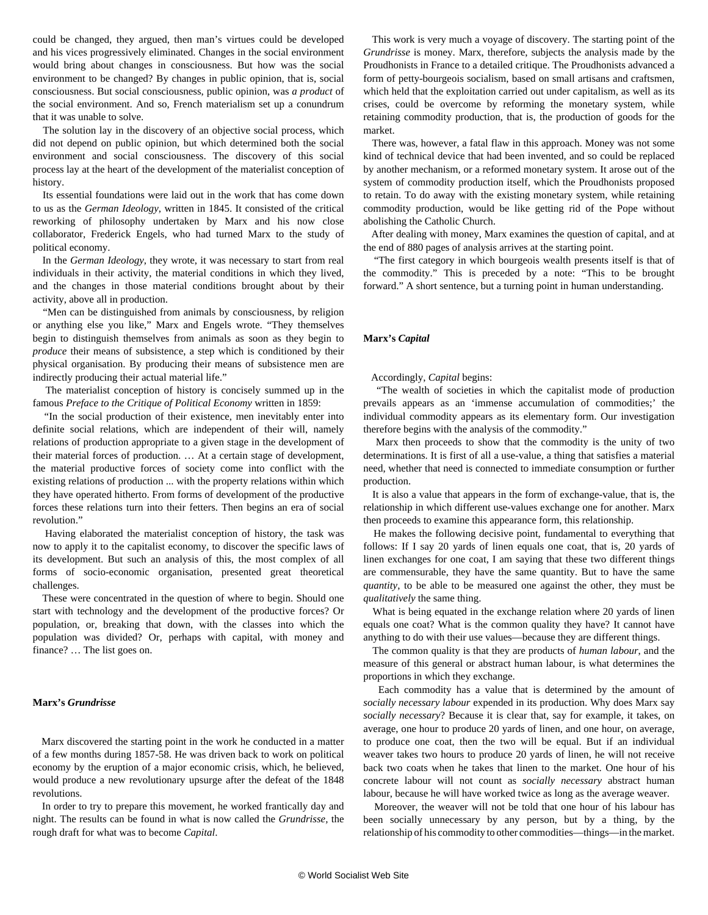could be changed, they argued, then man's virtues could be developed and his vices progressively eliminated. Changes in the social environment would bring about changes in consciousness. But how was the social environment to be changed? By changes in public opinion, that is, social consciousness. But social consciousness, public opinion, was *a product* of the social environment. And so, French materialism set up a conundrum that it was unable to solve.

 The solution lay in the discovery of an objective social process, which did not depend on public opinion, but which determined both the social environment and social consciousness. The discovery of this social process lay at the heart of the development of the materialist conception of history.

 Its essential foundations were laid out in the work that has come down to us as the *German Ideology*, written in 1845. It consisted of the critical reworking of philosophy undertaken by Marx and his now close collaborator, Frederick Engels, who had turned Marx to the study of political economy.

 In the *German Ideology*, they wrote, it was necessary to start from real individuals in their activity, the material conditions in which they lived, and the changes in those material conditions brought about by their activity, above all in production.

 "Men can be distinguished from animals by consciousness, by religion or anything else you like," Marx and Engels wrote. "They themselves begin to distinguish themselves from animals as soon as they begin to *produce* their means of subsistence, a step which is conditioned by their physical organisation. By producing their means of subsistence men are indirectly producing their actual material life."

 The materialist conception of history is concisely summed up in the famous *Preface to the Critique of Political Economy* written in 1859:

 "In the social production of their existence, men inevitably enter into definite social relations, which are independent of their will, namely relations of production appropriate to a given stage in the development of their material forces of production. … At a certain stage of development, the material productive forces of society come into conflict with the existing relations of production ... with the property relations within which they have operated hitherto. From forms of development of the productive forces these relations turn into their fetters. Then begins an era of social revolution."

 Having elaborated the materialist conception of history, the task was now to apply it to the capitalist economy, to discover the specific laws of its development. But such an analysis of this, the most complex of all forms of socio-economic organisation, presented great theoretical challenges.

 These were concentrated in the question of where to begin. Should one start with technology and the development of the productive forces? Or population, or, breaking that down, with the classes into which the population was divided? Or, perhaps with capital, with money and finance? … The list goes on.

# **Marx's** *Grundrisse*

 Marx discovered the starting point in the work he conducted in a matter of a few months during 1857-58. He was driven back to work on political economy by the eruption of a major economic crisis, which, he believed, would produce a new revolutionary upsurge after the defeat of the 1848 revolutions.

 In order to try to prepare this movement, he worked frantically day and night. The results can be found in what is now called the *Grundrisse,* the rough draft for what was to become *Capital*.

 This work is very much a voyage of discovery. The starting point of the *Grundrisse* is money. Marx, therefore, subjects the analysis made by the Proudhonists in France to a detailed critique. The Proudhonists advanced a form of petty-bourgeois socialism, based on small artisans and craftsmen, which held that the exploitation carried out under capitalism, as well as its crises, could be overcome by reforming the monetary system, while retaining commodity production, that is, the production of goods for the market.

 There was, however, a fatal flaw in this approach. Money was not some kind of technical device that had been invented, and so could be replaced by another mechanism, or a reformed monetary system. It arose out of the system of commodity production itself, which the Proudhonists proposed to retain. To do away with the existing monetary system, while retaining commodity production, would be like getting rid of the Pope without abolishing the Catholic Church.

 After dealing with money, Marx examines the question of capital, and at the end of 880 pages of analysis arrives at the starting point.

 "The first category in which bourgeois wealth presents itself is that of the commodity." This is preceded by a note: "This to be brought forward." A short sentence, but a turning point in human understanding.

# **Marx's** *Capital*

Accordingly, *Capital* begins:

 "The wealth of societies in which the capitalist mode of production prevails appears as an 'immense accumulation of commodities;' the individual commodity appears as its elementary form. Our investigation therefore begins with the analysis of the commodity."

 Marx then proceeds to show that the commodity is the unity of two determinations. It is first of all a use-value, a thing that satisfies a material need, whether that need is connected to immediate consumption or further production.

 It is also a value that appears in the form of exchange-value, that is, the relationship in which different use-values exchange one for another. Marx then proceeds to examine this appearance form, this relationship.

 He makes the following decisive point, fundamental to everything that follows: If I say 20 yards of linen equals one coat, that is, 20 yards of linen exchanges for one coat, I am saying that these two different things are commensurable, they have the same quantity. But to have the same *quantity*, to be able to be measured one against the other, they must be *qualitatively* the same thing.

 What is being equated in the exchange relation where 20 yards of linen equals one coat? What is the common quality they have? It cannot have anything to do with their use values—because they are different things.

 The common quality is that they are products of *human labour*, and the measure of this general or abstract human labour, is what determines the proportions in which they exchange.

 Each commodity has a value that is determined by the amount of *socially necessary labour* expended in its production. Why does Marx say *socially necessary*? Because it is clear that, say for example, it takes, on average, one hour to produce 20 yards of linen, and one hour, on average, to produce one coat, then the two will be equal. But if an individual weaver takes two hours to produce 20 yards of linen, he will not receive back two coats when he takes that linen to the market. One hour of his concrete labour will not count as *socially necessary* abstract human labour, because he will have worked twice as long as the average weaver.

 Moreover, the weaver will not be told that one hour of his labour has been socially unnecessary by any person, but by a thing, by the relationship of his commodity to other commodities—things—in the market.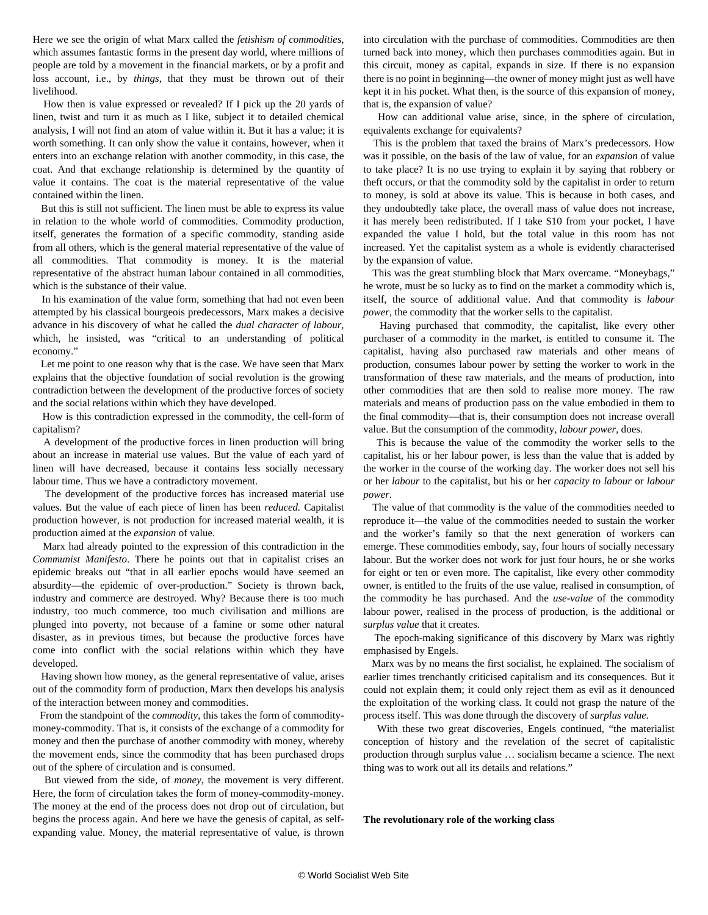Here we see the origin of what Marx called the *fetishism of commodities*, which assumes fantastic forms in the present day world, where millions of people are told by a movement in the financial markets, or by a profit and loss account, i.e., by *things*, that they must be thrown out of their livelihood.

 How then is value expressed or revealed? If I pick up the 20 yards of linen, twist and turn it as much as I like, subject it to detailed chemical analysis, I will not find an atom of value within it. But it has a value; it is worth something. It can only show the value it contains, however, when it enters into an exchange relation with another commodity, in this case, the coat. And that exchange relationship is determined by the quantity of value it contains. The coat is the material representative of the value contained within the linen.

 But this is still not sufficient. The linen must be able to express its value in relation to the whole world of commodities. Commodity production, itself, generates the formation of a specific commodity, standing aside from all others, which is the general material representative of the value of all commodities. That commodity is money. It is the material representative of the abstract human labour contained in all commodities, which is the substance of their value.

 In his examination of the value form, something that had not even been attempted by his classical bourgeois predecessors, Marx makes a decisive advance in his discovery of what he called the *dual character of labour*, which, he insisted, was "critical to an understanding of political economy."

 Let me point to one reason why that is the case. We have seen that Marx explains that the objective foundation of social revolution is the growing contradiction between the development of the productive forces of society and the social relations within which they have developed.

 How is this contradiction expressed in the commodity, the cell-form of capitalism?

 A development of the productive forces in linen production will bring about an increase in material use values. But the value of each yard of linen will have decreased, because it contains less socially necessary labour time. Thus we have a contradictory movement.

 The development of the productive forces has increased material use values. But the value of each piece of linen has been *reduced.* Capitalist production however, is not production for increased material wealth, it is production aimed at the *expansion* of value.

 Marx had already pointed to the expression of this contradiction in the *Communist Manifesto*. There he points out that in capitalist crises an epidemic breaks out "that in all earlier epochs would have seemed an absurdity—the epidemic of over-production." Society is thrown back, industry and commerce are destroyed. Why? Because there is too much industry, too much commerce, too much civilisation and millions are plunged into poverty, not because of a famine or some other natural disaster, as in previous times, but because the productive forces have come into conflict with the social relations within which they have developed.

 Having shown how money, as the general representative of value, arises out of the commodity form of production, Marx then develops his analysis of the interaction between money and commodities.

 From the standpoint of the *commodity*, this takes the form of commoditymoney-commodity. That is, it consists of the exchange of a commodity for money and then the purchase of another commodity with money, whereby the movement ends, since the commodity that has been purchased drops out of the sphere of circulation and is consumed.

 But viewed from the side, of *money*, the movement is very different. Here, the form of circulation takes the form of money-commodity-money. The money at the end of the process does not drop out of circulation, but begins the process again. And here we have the genesis of capital, as selfexpanding value. Money, the material representative of value, is thrown into circulation with the purchase of commodities. Commodities are then turned back into money, which then purchases commodities again. But in this circuit, money as capital, expands in size. If there is no expansion there is no point in beginning—the owner of money might just as well have kept it in his pocket. What then, is the source of this expansion of money, that is, the expansion of value?

 How can additional value arise, since, in the sphere of circulation, equivalents exchange for equivalents?

 This is the problem that taxed the brains of Marx's predecessors. How was it possible, on the basis of the law of value, for an *expansion* of value to take place? It is no use trying to explain it by saying that robbery or theft occurs, or that the commodity sold by the capitalist in order to return to money, is sold at above its value. This is because in both cases, and they undoubtedly take place, the overall mass of value does not increase, it has merely been redistributed. If I take \$10 from your pocket, I have expanded the value I hold, but the total value in this room has not increased. Yet the capitalist system as a whole is evidently characterised by the expansion of value.

 This was the great stumbling block that Marx overcame. "Moneybags," he wrote, must be so lucky as to find on the market a commodity which is, itself, the source of additional value. And that commodity is *labour power*, the commodity that the worker sells to the capitalist.

 Having purchased that commodity, the capitalist, like every other purchaser of a commodity in the market, is entitled to consume it. The capitalist, having also purchased raw materials and other means of production, consumes labour power by setting the worker to work in the transformation of these raw materials, and the means of production, into other commodities that are then sold to realise more money. The raw materials and means of production pass on the value embodied in them to the final commodity—that is, their consumption does not increase overall value. But the consumption of the commodity, *labour power,* does.

 This is because the value of the commodity the worker sells to the capitalist, his or her labour power, is less than the value that is added by the worker in the course of the working day. The worker does not sell his or her *labour* to the capitalist, but his or her *capacity to labour* or *labour power*.

 The value of that commodity is the value of the commodities needed to reproduce it—the value of the commodities needed to sustain the worker and the worker's family so that the next generation of workers can emerge. These commodities embody, say, four hours of socially necessary labour. But the worker does not work for just four hours, he or she works for eight or ten or even more. The capitalist, like every other commodity owner, is entitled to the fruits of the use value, realised in consumption, of the commodity he has purchased. And the *use-value* of the commodity labour power, realised in the process of production, is the additional or *surplus value* that it creates.

 The epoch-making significance of this discovery by Marx was rightly emphasised by Engels.

 Marx was by no means the first socialist, he explained. The socialism of earlier times trenchantly criticised capitalism and its consequences. But it could not explain them; it could only reject them as evil as it denounced the exploitation of the working class. It could not grasp the nature of the process itself. This was done through the discovery of *surplus value*.

 With these two great discoveries, Engels continued, "the materialist conception of history and the revelation of the secret of capitalistic production through surplus value … socialism became a science. The next thing was to work out all its details and relations."

**The revolutionary role of the working class**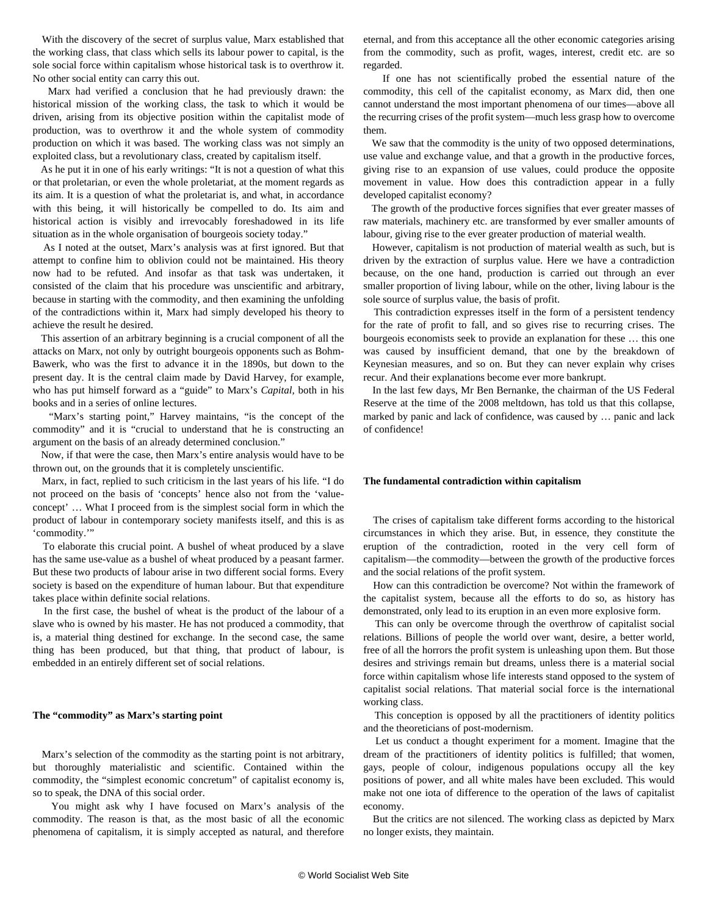With the discovery of the secret of surplus value, Marx established that the working class, that class which sells its labour power to capital, is the sole social force within capitalism whose historical task is to overthrow it. No other social entity can carry this out.

 Marx had verified a conclusion that he had previously drawn: the historical mission of the working class, the task to which it would be driven, arising from its objective position within the capitalist mode of production, was to overthrow it and the whole system of commodity production on which it was based. The working class was not simply an exploited class, but a revolutionary class, created by capitalism itself.

 As he put it in one of his early writings: "It is not a question of what this or that proletarian, or even the whole proletariat, at the moment regards as its aim. It is a question of what the proletariat is, and what, in accordance with this being, it will historically be compelled to do. Its aim and historical action is visibly and irrevocably foreshadowed in its life situation as in the whole organisation of bourgeois society today."

 As I noted at the outset, Marx's analysis was at first ignored. But that attempt to confine him to oblivion could not be maintained. His theory now had to be refuted. And insofar as that task was undertaken, it consisted of the claim that his procedure was unscientific and arbitrary, because in starting with the commodity, and then examining the unfolding of the contradictions within it, Marx had simply developed his theory to achieve the result he desired.

 This assertion of an arbitrary beginning is a crucial component of all the attacks on Marx, not only by outright bourgeois opponents such as Bohm-Bawerk, who was the first to advance it in the 1890s, but down to the present day. It is the central claim made by David Harvey, for example, who has put himself forward as a "guide" to Marx's *Capital,* both in his books and in a series of online lectures.

 "Marx's starting point," Harvey maintains, "is the concept of the commodity" and it is "crucial to understand that he is constructing an argument on the basis of an already determined conclusion."

 Now, if that were the case, then Marx's entire analysis would have to be thrown out, on the grounds that it is completely unscientific.

 Marx, in fact, replied to such criticism in the last years of his life. "I do not proceed on the basis of 'concepts' hence also not from the 'valueconcept' … What I proceed from is the simplest social form in which the product of labour in contemporary society manifests itself, and this is as 'commodity.'"

 To elaborate this crucial point. A bushel of wheat produced by a slave has the same use-value as a bushel of wheat produced by a peasant farmer. But these two products of labour arise in two different social forms. Every society is based on the expenditure of human labour. But that expenditure takes place within definite social relations.

 In the first case, the bushel of wheat is the product of the labour of a slave who is owned by his master. He has not produced a commodity, that is, a material thing destined for exchange. In the second case, the same thing has been produced, but that thing, that product of labour, is embedded in an entirely different set of social relations.

## **The "commodity" as Marx's starting point**

 Marx's selection of the commodity as the starting point is not arbitrary, but thoroughly materialistic and scientific. Contained within the commodity, the "simplest economic concretum" of capitalist economy is, so to speak, the DNA of this social order.

 You might ask why I have focused on Marx's analysis of the commodity. The reason is that, as the most basic of all the economic phenomena of capitalism, it is simply accepted as natural, and therefore eternal, and from this acceptance all the other economic categories arising from the commodity, such as profit, wages, interest, credit etc. are so regarded.

 If one has not scientifically probed the essential nature of the commodity, this cell of the capitalist economy, as Marx did, then one cannot understand the most important phenomena of our times—above all the recurring crises of the profit system—much less grasp how to overcome them.

 We saw that the commodity is the unity of two opposed determinations, use value and exchange value, and that a growth in the productive forces, giving rise to an expansion of use values, could produce the opposite movement in value. How does this contradiction appear in a fully developed capitalist economy?

 The growth of the productive forces signifies that ever greater masses of raw materials, machinery etc. are transformed by ever smaller amounts of labour, giving rise to the ever greater production of material wealth.

 However, capitalism is not production of material wealth as such, but is driven by the extraction of surplus value. Here we have a contradiction because, on the one hand, production is carried out through an ever smaller proportion of living labour, while on the other, living labour is the sole source of surplus value, the basis of profit.

 This contradiction expresses itself in the form of a persistent tendency for the rate of profit to fall, and so gives rise to recurring crises. The bourgeois economists seek to provide an explanation for these … this one was caused by insufficient demand, that one by the breakdown of Keynesian measures, and so on. But they can never explain why crises recur. And their explanations become ever more bankrupt.

 In the last few days, Mr Ben Bernanke, the chairman of the US Federal Reserve at the time of the 2008 meltdown, has told us that this collapse, marked by panic and lack of confidence, was caused by … panic and lack of confidence!

# **The fundamental contradiction within capitalism**

 The crises of capitalism take different forms according to the historical circumstances in which they arise. But, in essence, they constitute the eruption of the contradiction, rooted in the very cell form of capitalism—the commodity—between the growth of the productive forces and the social relations of the profit system.

 How can this contradiction be overcome? Not within the framework of the capitalist system, because all the efforts to do so, as history has demonstrated, only lead to its eruption in an even more explosive form.

 This can only be overcome through the overthrow of capitalist social relations. Billions of people the world over want, desire, a better world, free of all the horrors the profit system is unleashing upon them. But those desires and strivings remain but dreams, unless there is a material social force within capitalism whose life interests stand opposed to the system of capitalist social relations. That material social force is the international working class.

 This conception is opposed by all the practitioners of identity politics and the theoreticians of post-modernism.

 Let us conduct a thought experiment for a moment. Imagine that the dream of the practitioners of identity politics is fulfilled; that women, gays, people of colour, indigenous populations occupy all the key positions of power, and all white males have been excluded. This would make not one iota of difference to the operation of the laws of capitalist economy.

 But the critics are not silenced. The working class as depicted by Marx no longer exists, they maintain.